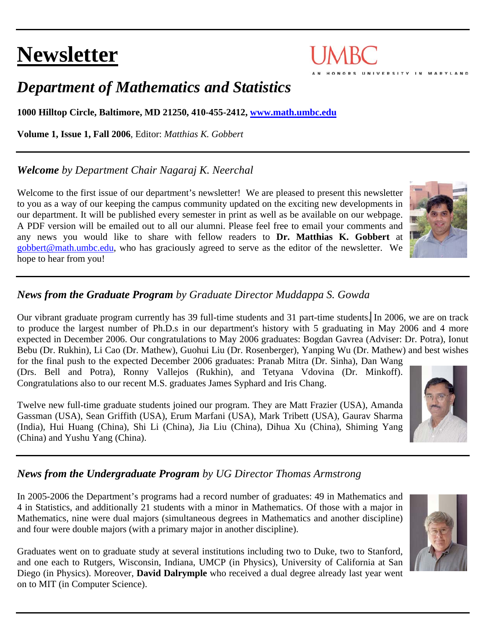# **Newsletter**

# *Department of Mathematics and Statistics*

**1000 Hilltop Circle, Baltimore, MD 21250, 410-455-2412, [www.math.umbc.edu](http://www.math.umbc.edu/)**

**Volume 1, Issue 1, Fall 2006**, Editor: *Matthias K. Gobbert* 

# *Welcome by Department Chair Nagaraj K. Neerchal*

Welcome to the first issue of our department's newsletter! We are pleased to present this newsletter to you as a way of our keeping the campus community updated on the exciting new developments in our department. It will be published every semester in print as well as be available on our webpage. A PDF version will be emailed out to all our alumni. Please feel free to email your comments and any news you would like to share with fellow readers to **Dr. Matthias K. Gobbert** at [gobbert@math.umbc.edu](mailto:gobbert@math.umbc.edu), who has graciously agreed to serve as the editor of the newsletter. We hope to hear from you!

# *News from the Graduate Program by Graduate Director Muddappa S. Gowda*

Our vibrant graduate program currently has 39 full-time students and 31 part-time students. In 2006, we are on track to produce the largest number of Ph.D.s in our department's history with 5 graduating in May 2006 and 4 more expected in December 2006. Our congratulations to May 2006 graduates: Bogdan Gavrea (Adviser: Dr. Potra), Ionut Bebu (Dr. Rukhin), Li Cao (Dr. Mathew), Guohui Liu (Dr. Rosenberger), Yanping Wu (Dr. Mathew) and best wishes for the final push to the expected December 2006 graduates: Pranab Mitra (Dr. Sinha), Dan Wang (Drs. Bell and Potra), Ronny Vallejos (Rukhin), and Tetyana Vdovina (Dr. Minkoff).

Congratulations also to our recent M.S. graduates James Syphard and Iris Chang.

Twelve new full-time graduate students joined our program. They are Matt Frazier (USA), Amanda Gassman (USA), Sean Griffith (USA), Erum Marfani (USA), Mark Tribett (USA), Gaurav Sharma (India), Hui Huang (China), Shi Li (China), Jia Liu (China), Dihua Xu (China), Shiming Yang (China) and Yushu Yang (China).

# *News from the Undergraduate Program by UG Director Thomas Armstrong*

In 2005-2006 the Department's programs had a record number of graduates: 49 in Mathematics and 4 in Statistics, and additionally 21 students with a minor in Mathematics. Of those with a major in Mathematics, nine were dual majors (simultaneous degrees in Mathematics and another discipline) and four were double majors (with a primary major in another discipline).

Graduates went on to graduate study at several institutions including two to Duke, two to Stanford, and one each to Rutgers, Wisconsin, Indiana, UMCP (in Physics), University of California at San Diego (in Physics). Moreover, **David Dalrymple** who received a dual degree already last year went on to MIT (in Computer Science).







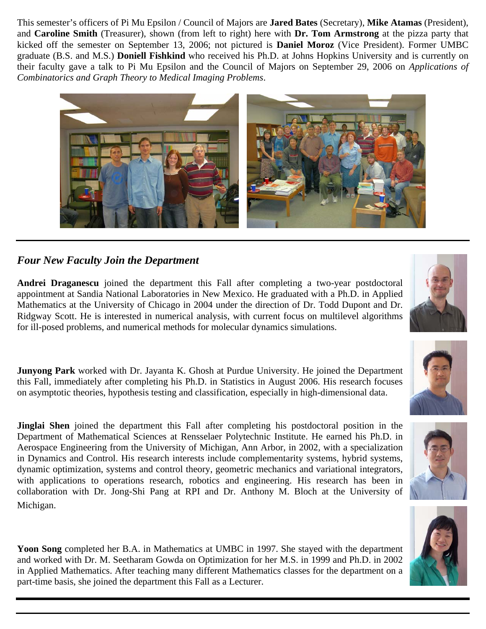This semester's officers of Pi Mu Epsilon / Council of Majors are **Jared Bates** (Secretary), **Mike Atamas** (President), and **Caroline Smith** (Treasurer), shown (from left to right) here with **Dr. Tom Armstrong** at the pizza party that kicked off the semester on September 13, 2006; not pictured is **Daniel Moroz** (Vice President). Former UMBC graduate (B.S. and M.S.) **Doniell Fishkind** who received his Ph.D. at Johns Hopkins University and is currently on their faculty gave a talk to Pi Mu Epsilon and the Council of Majors on September 29, 2006 on *Applications of Combinatorics and Graph Theory to Medical Imaging Problems*.



#### *Four New Faculty Join the Department*

Andrei Draganescu joined the department this Fall after completing a two-year postdoctoral appointment at Sandia National Laboratories in New Mexico. He graduated with a Ph.D. in Applied Mathematics at the University of Chicago in 2004 under the direction of Dr. Todd Dupont and Dr. Ridgway Scott. He is interested in numerical analysis, with current focus on multilevel algorithms for ill-posed problems, and numerical methods for molecular dynamics simulations.

**unyong Park** worked with Dr. Jayanta K. Ghosh at Purdue University. He joined the Department **J** this Fall, immediately after completing his Ph.D. in Statistics in August 2006. His research focuses on asymptotic theories, hypothesis testing and classification, especially in high-dimensional data.

**Jinglai Shen** joined the department this Fall after completing his postdoctoral position in the Department of Mathematical Sciences at Rensselaer Polytechnic Institute. He earned his Ph.D. in Aerospace Engineering from the University of Michigan, Ann Arbor, in 2002, with a specialization in Dynamics and Control. His research interests include complementarity systems, hybrid systems, dynamic optimization, systems and control theory, geometric mechanics and variational integrators, with applications to operations research, robotics and engineering. His research has been in collaboration with Dr. Jong-Shi Pang at RPI and Dr. Anthony M. Bloch at the University of Michigan.

Yoon Song completed her B.A. in Mathematics at UMBC in 1997. She stayed with the department and worked with Dr. M. Seetharam Gowda on Optimization for her M.S. in 1999 and Ph.D. in 2002 in Applied Mathematics. After teaching many different Mathematics classes for the department on a part-time basis, she joined the department this Fall as a Lecturer.







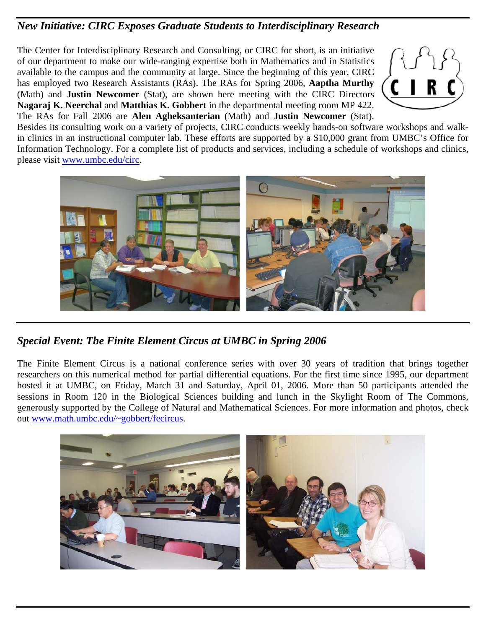#### *New Initiative: CIRC Exposes Graduate Students to Interdisciplinary Research*

T he Center for Interdisciplinary Research and Consulting, or CIRC for short, is an initiative o f our department to make our wide-ranging expertise both in Mathematics and in Statistics available to the campus and the community at large. Since the beginning of this year, CIRC has employed two Research Assistants (RAs). The RAs for Spring 2006, **Aaptha Murthy** (Math) and **Justin Newcomer** (Stat), are shown here meeting with the CIRC Directors **Nagaraj K. Neerchal** and **Matthias K. Gobbert** in the departmental meeting room MP 422. The RAs for Fall 2006 are **Alen Agheksanterian** (Math) and **Justin Newcomer** (Stat).



Besides its consulting work on a variety of projects, CIRC conducts weekly hands-on software workshops and walkin clinics in an instructional computer lab. These efforts are supported by a \$10,000 grant from UMBC's Office for Information Technology. For a complete list of products and services, including a schedule of workshops and clinics, please visit [www.umbc.edu/circ.](www.umbc.edu/circ)



**Special Event: The Finite Element Circus at UMBC in Spring 2006** 

The Finite Element Circus is a national conference series with over 30 years of tradition that brings together researchers on this numerical method for partial differential equations. For the first time since 1995, our department hosted it at UMBC, on Friday, March 31 and Saturday, April 01, 2006. More than 50 participants attended the sessions in Room 120 in the Biological Sciences building and lunch in the Skylight Room of The Commons, generously supported by the College of Natural and Mathematical Sciences. For more information and photos, check out [www.math.umbc.edu/~gobbert/fecircus.](www.math.umbc.edu/%7Egobbert/fecircus)